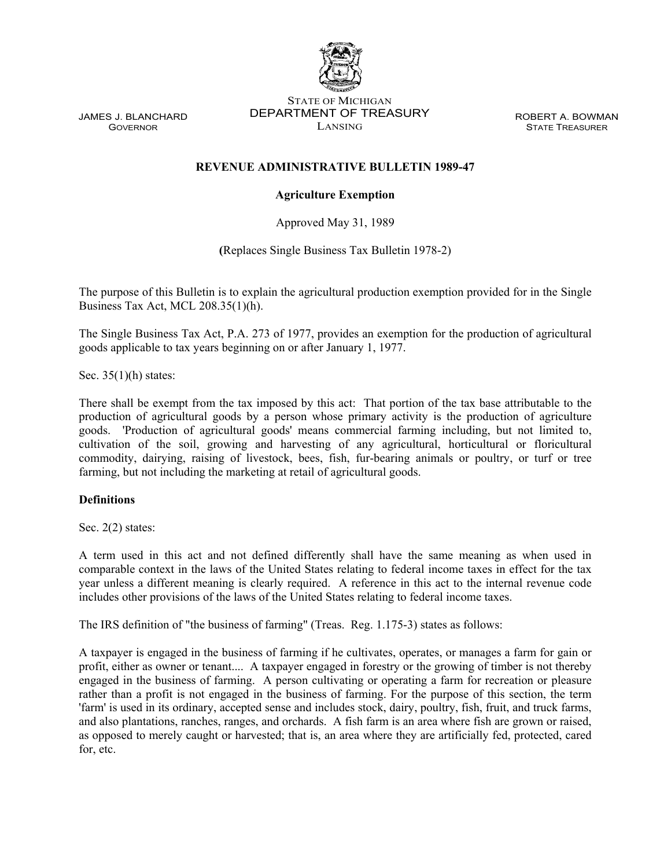

JAMES J. BLANCHARD **GOVERNOR** 

STATE OF MICHIGAN DEPARTMENT OF TREASURY LANSING

ROBERT A. BOWMAN STATE TREASURER

# **REVENUE ADMINISTRATIVE BULLETIN 1989-47**

# **Agriculture Exemption**

Approved May 31, 1989

**(**Replaces Single Business Tax Bulletin 1978-2)

The purpose of this Bulletin is to explain the agricultural production exemption provided for in the Single Business Tax Act, MCL 208.35(1)(h).

The Single Business Tax Act, P.A. 273 of 1977, provides an exemption for the production of agricultural goods applicable to tax years beginning on or after January 1, 1977.

Sec. 35(1)(h) states:

There shall be exempt from the tax imposed by this act: That portion of the tax base attributable to the production of agricultural goods by a person whose primary activity is the production of agriculture goods. 'Production of agricultural goods' means commercial farming including, but not limited to, cultivation of the soil, growing and harvesting of any agricultural, horticultural or floricultural commodity, dairying, raising of livestock, bees, fish, fur-bearing animals or poultry, or turf or tree farming, but not including the marketing at retail of agricultural goods.

# **Definitions**

Sec. 2(2) states:

A term used in this act and not defined differently shall have the same meaning as when used in comparable context in the laws of the United States relating to federal income taxes in effect for the tax year unless a different meaning is clearly required. A reference in this act to the internal revenue code includes other provisions of the laws of the United States relating to federal income taxes.

The IRS definition of "the business of farming" (Treas. Reg. 1.175-3) states as follows:

A taxpayer is engaged in the business of farming if he cultivates, operates, or manages a farm for gain or profit, either as owner or tenant.... A taxpayer engaged in forestry or the growing of timber is not thereby engaged in the business of farming. A person cultivating or operating a farm for recreation or pleasure rather than a profit is not engaged in the business of farming. For the purpose of this section, the term 'farm' is used in its ordinary, accepted sense and includes stock, dairy, poultry, fish, fruit, and truck farms, and also plantations, ranches, ranges, and orchards. A fish farm is an area where fish are grown or raised, as opposed to merely caught or harvested; that is, an area where they are artificially fed, protected, cared for, etc.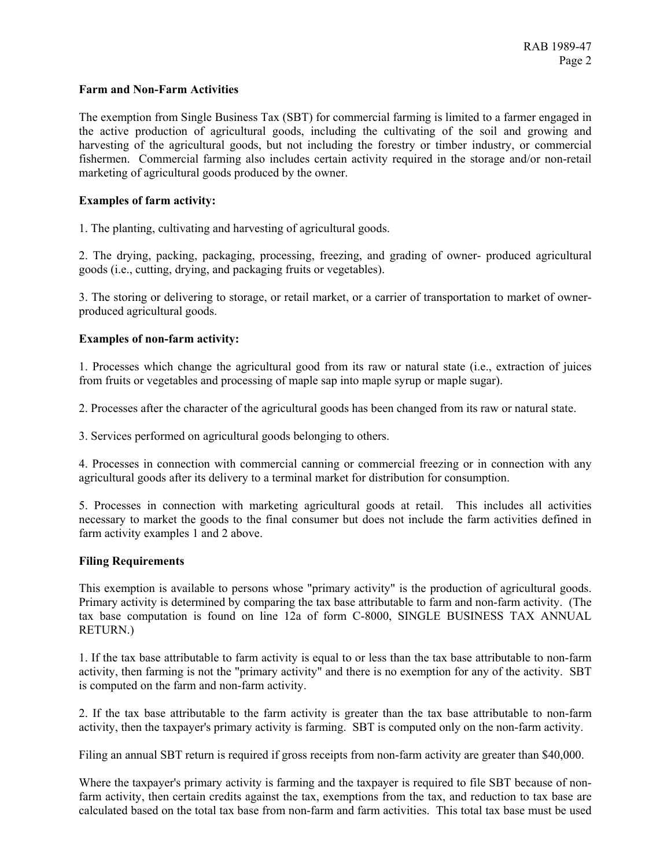#### **Farm and Non-Farm Activities**

The exemption from Single Business Tax (SBT) for commercial farming is limited to a farmer engaged in the active production of agricultural goods, including the cultivating of the soil and growing and harvesting of the agricultural goods, but not including the forestry or timber industry, or commercial fishermen. Commercial farming also includes certain activity required in the storage and/or non-retail marketing of agricultural goods produced by the owner.

### **Examples of farm activity:**

1. The planting, cultivating and harvesting of agricultural goods.

2. The drying, packing, packaging, processing, freezing, and grading of owner- produced agricultural goods (i.e., cutting, drying, and packaging fruits or vegetables).

3. The storing or delivering to storage, or retail market, or a carrier of transportation to market of ownerproduced agricultural goods.

### **Examples of non-farm activity:**

1. Processes which change the agricultural good from its raw or natural state (i.e., extraction of juices from fruits or vegetables and processing of maple sap into maple syrup or maple sugar).

2. Processes after the character of the agricultural goods has been changed from its raw or natural state.

3. Services performed on agricultural goods belonging to others.

4. Processes in connection with commercial canning or commercial freezing or in connection with any agricultural goods after its delivery to a terminal market for distribution for consumption.

5. Processes in connection with marketing agricultural goods at retail. This includes all activities necessary to market the goods to the final consumer but does not include the farm activities defined in farm activity examples 1 and 2 above.

#### **Filing Requirements**

This exemption is available to persons whose "primary activity" is the production of agricultural goods. Primary activity is determined by comparing the tax base attributable to farm and non-farm activity. (The tax base computation is found on line 12a of form C-8000, SINGLE BUSINESS TAX ANNUAL RETURN.)

1. If the tax base attributable to farm activity is equal to or less than the tax base attributable to non-farm activity, then farming is not the "primary activity" and there is no exemption for any of the activity. SBT is computed on the farm and non-farm activity.

2. If the tax base attributable to the farm activity is greater than the tax base attributable to non-farm activity, then the taxpayer's primary activity is farming. SBT is computed only on the non-farm activity.

Filing an annual SBT return is required if gross receipts from non-farm activity are greater than \$40,000.

Where the taxpayer's primary activity is farming and the taxpayer is required to file SBT because of nonfarm activity, then certain credits against the tax, exemptions from the tax, and reduction to tax base are calculated based on the total tax base from non-farm and farm activities. This total tax base must be used